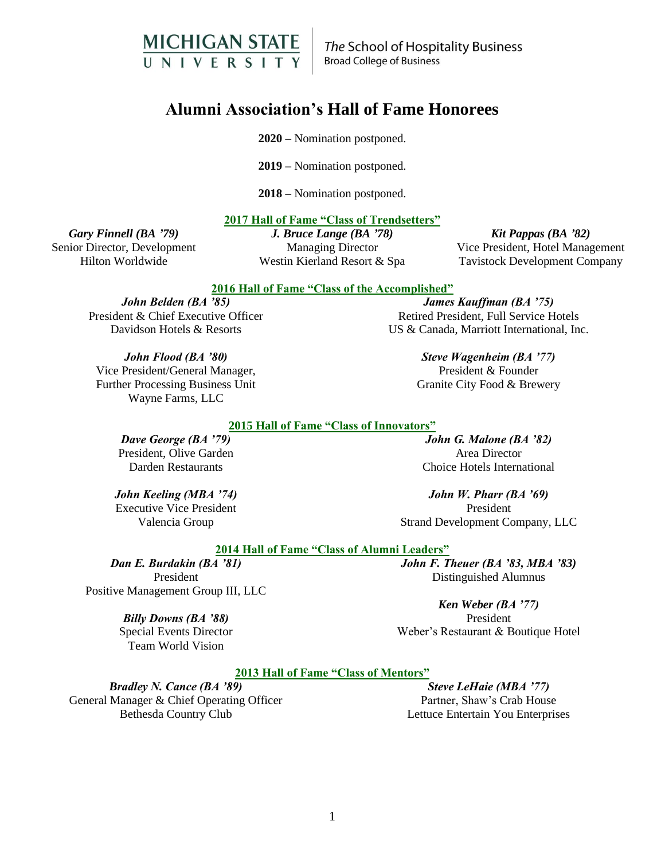

The School of Hospitality Business **Broad College of Business** 

# **Alumni Association's Hall of Fame Honorees**

**2020 –** Nomination postponed.

**2019 –** Nomination postponed.

**2018 –** Nomination postponed.

#### **2017 Hall of Fame "Class of Trendsetters"**

*Gary Finnell (BA '79)* Senior Director, Development Hilton Worldwide

*J. Bruce Lange (BA '78)* Managing Director Westin Kierland Resort & Spa

*Kit Pappas (BA '82)* Vice President, Hotel Management Tavistock Development Company

#### **2016 Hall of Fame "Class of the Accomplished"**

*John Belden (BA '85)* President & Chief Executive Officer Davidson Hotels & Resorts

*James Kauffman (BA '75)* Retired President, Full Service Hotels US & Canada, Marriott International, Inc.

> *Steve Wagenheim (BA '77)* President & Founder Granite City Food & Brewery

# *John Flood (BA '80)*

Vice President/General Manager, Further Processing Business Unit Wayne Farms, LLC

# **2015 Hall of Fame "Class of Innovators"**

*Dave George (BA '79)* President, Olive Garden Darden Restaurants

*John Keeling (MBA '74)* Executive Vice President Valencia Group

*John G. Malone (BA '82)* Area Director Choice Hotels International

*John W. Pharr (BA '69)* President Strand Development Company, LLC

Distinguished Alumnus

*Ken Weber (BA '77)* President Weber's Restaurant & Boutique Hotel

#### **2014 Hall of Fame "Class of Alumni Leaders"** *John F. Theuer (BA '83, MBA '83)*

*Dan E. Burdakin (BA '81)* President Positive Management Group III, LLC

#### *Billy Downs (BA '88)*

Special Events Director Team World Vision

#### **2013 Hall of Fame "Class of Mentors"**

*Bradley N. Cance (BA '89)* General Manager & Chief Operating Officer Bethesda Country Club

*Steve LeHaie (MBA '77)* Partner, Shaw's Crab House Lettuce Entertain You Enterprises

1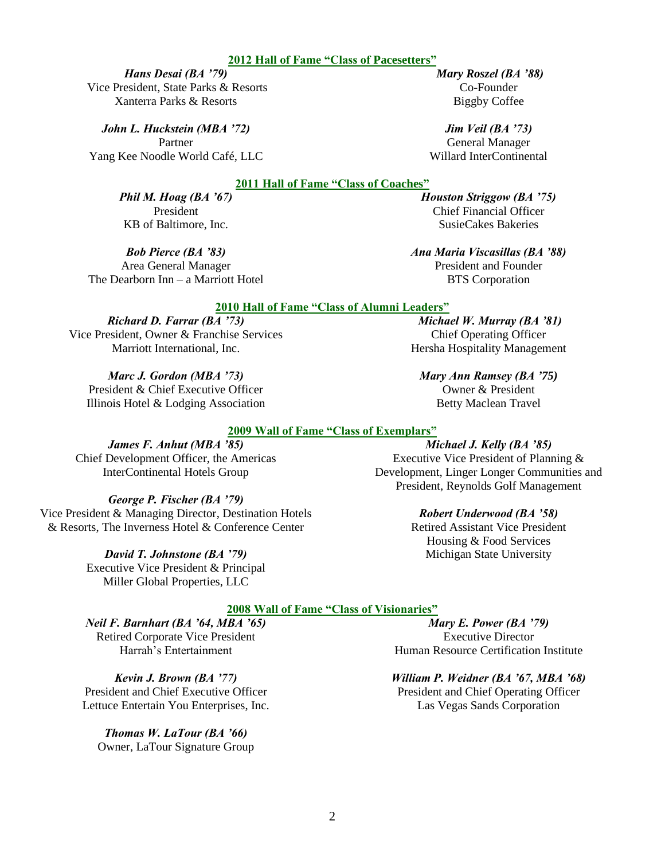# 2

# **2012 Hall of Fame "Class of Pacesetters"**

#### *Hans Desai (BA '79)* Vice President, State Parks & Resorts

Xanterra Parks & Resorts

*John L. Huckstein (MBA '72)*

Partner Yang Kee Noodle World Café, LLC

# **2011 Hall of Fame "Class of Coaches"**

*Phil M. Hoag (BA '67)* President KB of Baltimore, Inc.

# *Bob Pierce (BA '83)*

Area General Manager The Dearborn Inn – a Marriott Hotel

# **2010 Hall of Fame "Class of Alumni Leaders"**

# *Richard D. Farrar (BA '73)* Vice President, Owner & Franchise Services

Marriott International, Inc.

*Marc J. Gordon (MBA '73)* President & Chief Executive Officer Illinois Hotel & Lodging Association

# **2009 Wall of Fame "Class of Exemplars"**

*James F. Anhut (MBA '85)* Chief Development Officer, the Americas InterContinental Hotels Group

# *George P. Fischer (BA '79)*

Vice President & Managing Director, Destination Hotels & Resorts, The Inverness Hotel & Conference Center

> *David T. Johnstone (BA '79)*  Executive Vice President & Principal Miller Global Properties, LLC

# **2008 Wall of Fame "Class of Visionaries"**

*Neil F. Barnhart (BA '64, MBA '65)* Retired Corporate Vice President Harrah's Entertainment

*Kevin J. Brown (BA '77)* President and Chief Executive Officer Lettuce Entertain You Enterprises, Inc.

*Thomas W. LaTour (BA '66)*  Owner, LaTour Signature Group

*Mary E. Power (BA '79)* Executive Director Human Resource Certification Institute

# *William P. Weidner (BA '67, MBA '68)*

President and Chief Operating Officer Las Vegas Sands Corporation

Betty Maclean Travel *Michael J. Kelly (BA '85)*

Executive Vice President of Planning & Development, Linger Longer Communities and President, Reynolds Golf Management

# *Robert Underwood (BA '58)*

Retired Assistant Vice President Housing & Food Services Michigan State University

*Houston Striggow (BA '75)* Chief Financial Officer SusieCakes Bakeries

*Ana Maria Viscasillas (BA '88)* President and Founder BTS Corporation

*Michael W. Murray (BA '81)* Chief Operating Officer Hersha Hospitality Management

*Mary Ann Ramsey (BA '75)* Owner & President

*Jim Veil (BA '73)* General Manager

Willard InterContinental

*Mary Roszel (BA '88)* Co-Founder Biggby Coffee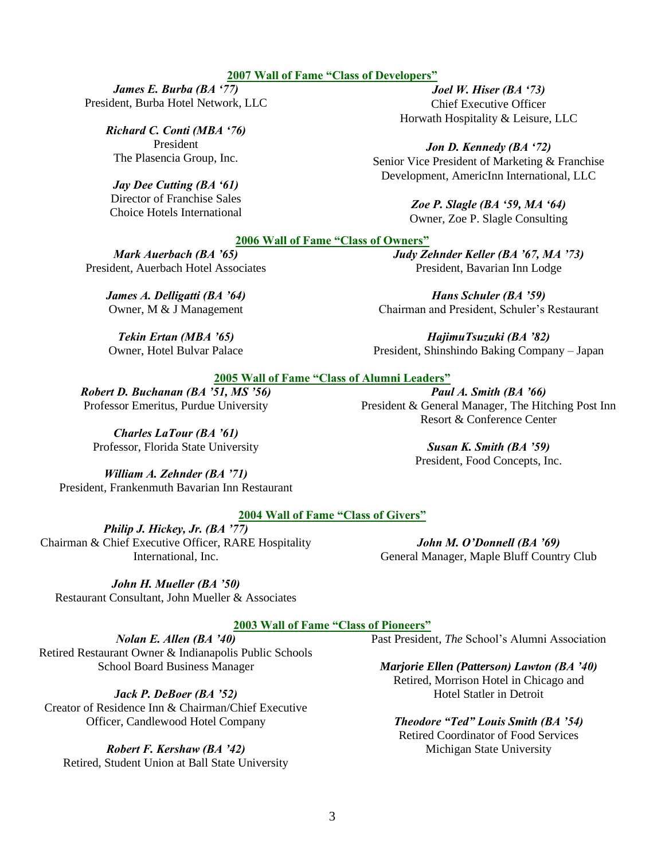#### **2007 Wall of Fame "Class of Developers"**

*James E. Burba (BA '77)* President, Burba Hotel Network, LLC

> *Richard C. Conti (MBA '76)* President The Plasencia Group, Inc.

#### *Jay Dee Cutting (BA '61)*

Director of Franchise Sales Choice Hotels International

*Joel W. Hiser (BA '73)* Chief Executive Officer Horwath Hospitality & Leisure, LLC

*Jon D. Kennedy (BA '72)* Senior Vice President of Marketing & Franchise Development, AmericInn International, LLC

> *Zoe P. Slagle (BA '59, MA '64)* Owner, Zoe P. Slagle Consulting

#### **2006 Wall of Fame "Class of Owners"**

*Mark Auerbach (BA '65)* President, Auerbach Hotel Associates

> *James A. Delligatti (BA '64)* Owner, M & J Management

*Tekin Ertan (MBA '65)* Owner, Hotel Bulvar Palace *Judy Zehnder Keller (BA '67, MA '73)* President, Bavarian Inn Lodge

*Hans Schuler (BA '59)* Chairman and President, Schuler's Restaurant

*HajimuTsuzuki (BA '82)*  President, Shinshindo Baking Company – Japan

*Paul A. Smith (BA '66)* President & General Manager, The Hitching Post Inn Resort & Conference Center

#### **2005 Wall of Fame "Class of Alumni Leaders"**

*Robert D. Buchanan (BA '51, MS '56)* Professor Emeritus, Purdue University

*Charles LaTour (BA '61)* Professor, Florida State University

*Susan K. Smith (BA '59)* President, Food Concepts, Inc.

*William A. Zehnder (BA '71)* President, Frankenmuth Bavarian Inn Restaurant

# **2004 Wall of Fame "Class of Givers"**

*Philip J. Hickey, Jr. (BA '77)* Chairman & Chief Executive Officer, RARE Hospitality International, Inc.

*John M. O'Donnell (BA '69)* General Manager, Maple Bluff Country Club

*John H. Mueller (BA '50)* Restaurant Consultant, John Mueller & Associates

**2003 Wall of Fame "Class of Pioneers"**

Past President, *The* School's Alumni Association

*Nolan E. Allen (BA '40)* Retired Restaurant Owner & Indianapolis Public Schools School Board Business Manager

*Jack P. DeBoer (BA '52)*

Creator of Residence Inn & Chairman/Chief Executive Officer, Candlewood Hotel Company

*Robert F. Kershaw (BA '42)*

Retired, Student Union at Ball State University

*Marjorie Ellen (Patterson) Lawton (BA '40)* Retired, Morrison Hotel in Chicago and Hotel Statler in Detroit

*Theodore "Ted" Louis Smith (BA '54)* Retired Coordinator of Food Services Michigan State University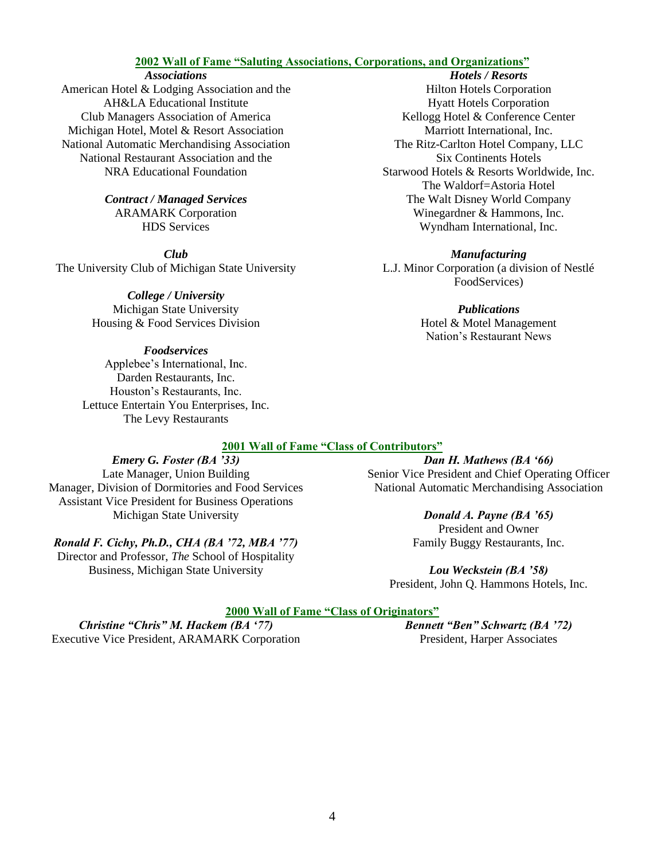# **2002 Wall of Fame "Saluting Associations, Corporations, and Organizations"**

#### *Associations*

American Hotel & Lodging Association and the AH&LA Educational Institute Club Managers Association of America Michigan Hotel, Motel & Resort Association National Automatic Merchandising Association National Restaurant Association and the NRA Educational Foundation

> *Contract / Managed Services* ARAMARK Corporation HDS Services

*Club* The University Club of Michigan State University

> *College / University* Michigan State University Housing & Food Services Division

*Foodservices* Applebee's International, Inc. Darden Restaurants, Inc. Houston's Restaurants, Inc. Lettuce Entertain You Enterprises, Inc. The Levy Restaurants

## *Hotels / Resorts* Hilton Hotels Corporation Hyatt Hotels Corporation Kellogg Hotel & Conference Center Marriott International, Inc. The Ritz-Carlton Hotel Company, LLC Six Continents Hotels Starwood Hotels & Resorts Worldwide, Inc. The Waldorf=Astoria Hotel The Walt Disney World Company Winegardner & Hammons, Inc. Wyndham International, Inc.

#### *Manufacturing*

L.J. Minor Corporation (a division of Nestlé FoodServices)

> *Publications* Hotel & Motel Management Nation's Restaurant News

## **2001 Wall of Fame "Class of Contributors"**

# *Emery G. Foster (BA '33)*

Late Manager, Union Building Manager, Division of Dormitories and Food Services Assistant Vice President for Business Operations Michigan State University

# *Ronald F. Cichy, Ph.D., CHA (BA '72, MBA '77)*

Director and Professor, *The* School of Hospitality Business, Michigan State University

*Dan H. Mathews (BA '66)* Senior Vice President and Chief Operating Officer National Automatic Merchandising Association

#### *Donald A. Payne (BA '65)*

President and Owner Family Buggy Restaurants, Inc.

*Lou Weckstein (BA '58)* President, John Q. Hammons Hotels, Inc.

# **2000 Wall of Fame "Class of Originators"**

*Christine "Chris" M. Hackem (BA '77)* Executive Vice President, ARAMARK Corporation *Bennett "Ben" Schwartz (BA '72)* President, Harper Associates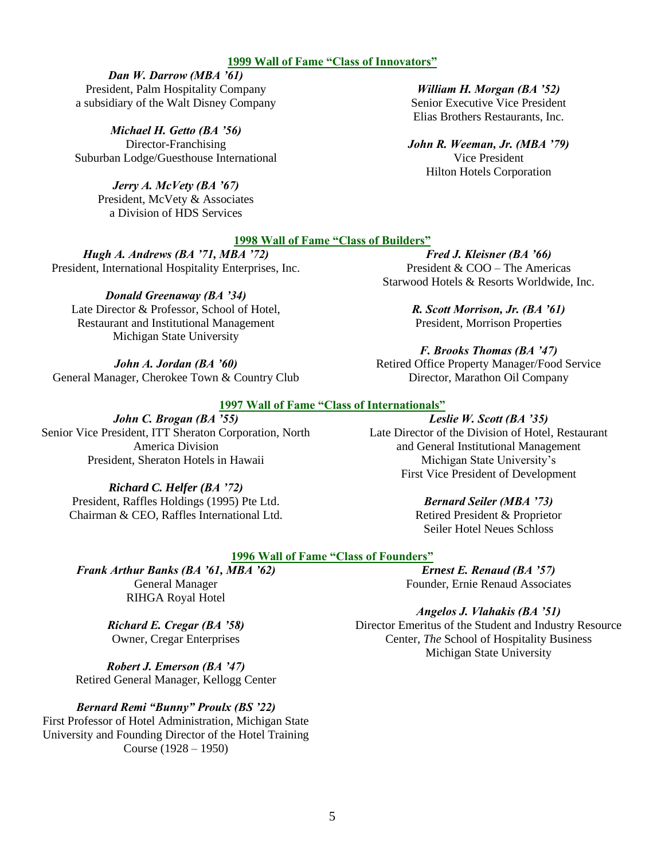#### **1999 Wall of Fame "Class of Innovators"**

*Dan W. Darrow (MBA '61)* President, Palm Hospitality Company a subsidiary of the Walt Disney Company

*Michael H. Getto (BA '56)* Director-Franchising Suburban Lodge/Guesthouse International

> *Jerry A. McVety (BA '67)* President, McVety & Associates a Division of HDS Services

*William H. Morgan (BA '52)* Senior Executive Vice President Elias Brothers Restaurants, Inc.

*John R. Weeman, Jr. (MBA '79)* Vice President Hilton Hotels Corporation

#### **1998 Wall of Fame "Class of Builders"**

*Hugh A. Andrews (BA '71, MBA '72)* President, International Hospitality Enterprises, Inc.

*Donald Greenaway (BA '34)* Late Director & Professor, School of Hotel, Restaurant and Institutional Management Michigan State University

*John A. Jordan (BA '60)* General Manager, Cherokee Town & Country Club

*Fred J. Kleisner (BA '66)* President & COO – The Americas Starwood Hotels & Resorts Worldwide, Inc.

> *R. Scott Morrison, Jr. (BA '61)* President, Morrison Properties

*F. Brooks Thomas (BA '47)* Retired Office Property Manager/Food Service Director, Marathon Oil Company

#### **1997 Wall of Fame "Class of Internationals"**

*John C. Brogan (BA '55)* Senior Vice President, ITT Sheraton Corporation, North America Division President, Sheraton Hotels in Hawaii

> *Richard C. Helfer (BA '72)* President, Raffles Holdings (1995) Pte Ltd. Chairman & CEO, Raffles International Ltd.

*Leslie W. Scott (BA '35)* Late Director of the Division of Hotel, Restaurant and General Institutional Management Michigan State University's First Vice President of Development

*Bernard Seiler (MBA '73)*

Retired President & Proprietor Seiler Hotel Neues Schloss

#### **1996 Wall of Fame "Class of Founders"**

*Frank Arthur Banks (BA '61, MBA '62)* General Manager RIHGA Royal Hotel

*Ernest E. Renaud (BA '57)* Founder, Ernie Renaud Associates

*Angelos J. Vlahakis (BA '51)* Director Emeritus of the Student and Industry Resource Center, *The* School of Hospitality Business Michigan State University

*Richard E. Cregar (BA '58)* Owner, Cregar Enterprises

*Robert J. Emerson (BA '47)* Retired General Manager, Kellogg Center

*Bernard Remi "Bunny" Proulx (BS '22)* First Professor of Hotel Administration, Michigan State University and Founding Director of the Hotel Training Course (1928 – 1950)